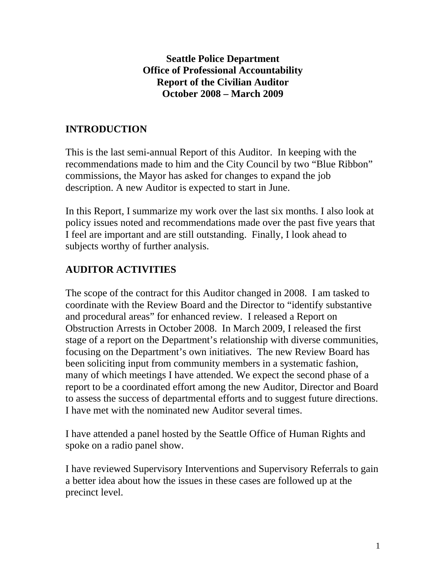### **Seattle Police Department Office of Professional Accountability Report of the Civilian Auditor October 2008 – March 2009**

# **INTRODUCTION**

This is the last semi-annual Report of this Auditor. In keeping with the recommendations made to him and the City Council by two "Blue Ribbon" commissions, the Mayor has asked for changes to expand the job description. A new Auditor is expected to start in June.

In this Report, I summarize my work over the last six months. I also look at policy issues noted and recommendations made over the past five years that I feel are important and are still outstanding. Finally, I look ahead to subjects worthy of further analysis.

# **AUDITOR ACTIVITIES**

The scope of the contract for this Auditor changed in 2008. I am tasked to coordinate with the Review Board and the Director to "identify substantive and procedural areas" for enhanced review. I released a Report on Obstruction Arrests in October 2008. In March 2009, I released the first stage of a report on the Department's relationship with diverse communities, focusing on the Department's own initiatives. The new Review Board has been soliciting input from community members in a systematic fashion, many of which meetings I have attended. We expect the second phase of a report to be a coordinated effort among the new Auditor, Director and Board to assess the success of departmental efforts and to suggest future directions. I have met with the nominated new Auditor several times.

I have attended a panel hosted by the Seattle Office of Human Rights and spoke on a radio panel show.

I have reviewed Supervisory Interventions and Supervisory Referrals to gain a better idea about how the issues in these cases are followed up at the precinct level.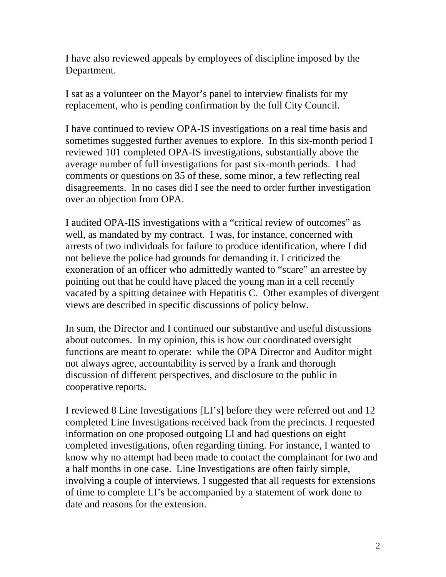I have also reviewed appeals by employees of discipline imposed by the Department.

I sat as a volunteer on the Mayor's panel to interview finalists for my replacement, who is pending confirmation by the full City Council.

I have continued to review OPA-IS investigations on a real time basis and sometimes suggested further avenues to explore. In this six-month period I reviewed 101 completed OPA-IS investigations, substantially above the average number of full investigations for past six-month periods. I had comments or questions on 35 of these, some minor, a few reflecting real disagreements. In no cases did I see the need to order further investigation over an objection from OPA.

I audited OPA-IIS investigations with a "critical review of outcomes" as well, as mandated by my contract. I was, for instance, concerned with arrests of two individuals for failure to produce identification, where I did not believe the police had grounds for demanding it. I criticized the exoneration of an officer who admittedly wanted to "scare" an arrestee by pointing out that he could have placed the young man in a cell recently vacated by a spitting detainee with Hepatitis C. Other examples of divergent views are described in specific discussions of policy below.

In sum, the Director and I continued our substantive and useful discussions about outcomes. In my opinion, this is how our coordinated oversight functions are meant to operate: while the OPA Director and Auditor might not always agree, accountability is served by a frank and thorough discussion of different perspectives, and disclosure to the public in cooperative reports.

I reviewed 8 Line Investigations [LI's] before they were referred out and 12 completed Line Investigations received back from the precincts. I requested information on one proposed outgoing LI and had questions on eight completed investigations, often regarding timing. For instance, I wanted to know why no attempt had been made to contact the complainant for two and a half months in one case. Line Investigations are often fairly simple, involving a couple of interviews. I suggested that all requests for extensions of time to complete LI's be accompanied by a statement of work done to date and reasons for the extension.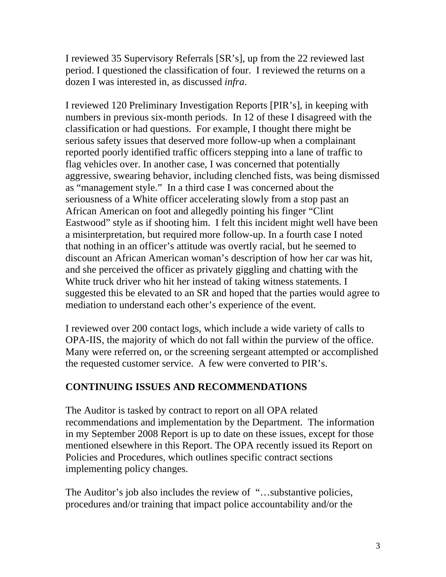I reviewed 35 Supervisory Referrals [SR's], up from the 22 reviewed last period. I questioned the classification of four. I reviewed the returns on a dozen I was interested in, as discussed *infra*.

I reviewed 120 Preliminary Investigation Reports [PIR's], in keeping with numbers in previous six-month periods. In 12 of these I disagreed with the classification or had questions. For example, I thought there might be serious safety issues that deserved more follow-up when a complainant reported poorly identified traffic officers stepping into a lane of traffic to flag vehicles over. In another case, I was concerned that potentially aggressive, swearing behavior, including clenched fists, was being dismissed as "management style." In a third case I was concerned about the seriousness of a White officer accelerating slowly from a stop past an African American on foot and allegedly pointing his finger "Clint Eastwood" style as if shooting him. I felt this incident might well have been a misinterpretation, but required more follow-up. In a fourth case I noted that nothing in an officer's attitude was overtly racial, but he seemed to discount an African American woman's description of how her car was hit, and she perceived the officer as privately giggling and chatting with the White truck driver who hit her instead of taking witness statements. I suggested this be elevated to an SR and hoped that the parties would agree to mediation to understand each other's experience of the event.

I reviewed over 200 contact logs, which include a wide variety of calls to OPA-IIS, the majority of which do not fall within the purview of the office. Many were referred on, or the screening sergeant attempted or accomplished the requested customer service. A few were converted to PIR's.

## **CONTINUING ISSUES AND RECOMMENDATIONS**

The Auditor is tasked by contract to report on all OPA related recommendations and implementation by the Department. The information in my September 2008 Report is up to date on these issues, except for those mentioned elsewhere in this Report. The OPA recently issued its Report on Policies and Procedures, which outlines specific contract sections implementing policy changes.

The Auditor's job also includes the review of "…substantive policies, procedures and/or training that impact police accountability and/or the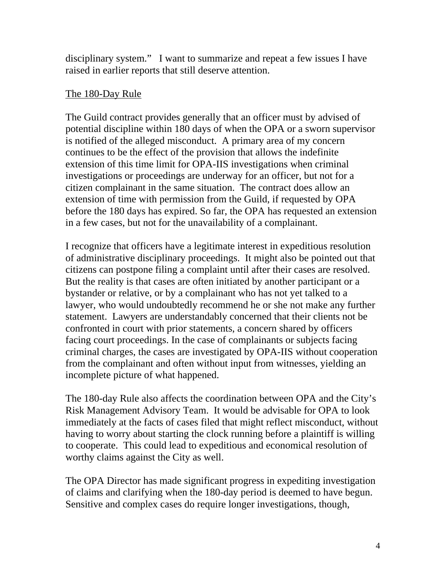disciplinary system." I want to summarize and repeat a few issues I have raised in earlier reports that still deserve attention.

#### The 180-Day Rule

The Guild contract provides generally that an officer must by advised of potential discipline within 180 days of when the OPA or a sworn supervisor is notified of the alleged misconduct. A primary area of my concern continues to be the effect of the provision that allows the indefinite extension of this time limit for OPA-IIS investigations when criminal investigations or proceedings are underway for an officer, but not for a citizen complainant in the same situation. The contract does allow an extension of time with permission from the Guild, if requested by OPA before the 180 days has expired. So far, the OPA has requested an extension in a few cases, but not for the unavailability of a complainant.

I recognize that officers have a legitimate interest in expeditious resolution of administrative disciplinary proceedings. It might also be pointed out that citizens can postpone filing a complaint until after their cases are resolved. But the reality is that cases are often initiated by another participant or a bystander or relative, or by a complainant who has not yet talked to a lawyer, who would undoubtedly recommend he or she not make any further statement. Lawyers are understandably concerned that their clients not be confronted in court with prior statements, a concern shared by officers facing court proceedings. In the case of complainants or subjects facing criminal charges, the cases are investigated by OPA-IIS without cooperation from the complainant and often without input from witnesses, yielding an incomplete picture of what happened.

The 180-day Rule also affects the coordination between OPA and the City's Risk Management Advisory Team. It would be advisable for OPA to look immediately at the facts of cases filed that might reflect misconduct, without having to worry about starting the clock running before a plaintiff is willing to cooperate. This could lead to expeditious and economical resolution of worthy claims against the City as well.

The OPA Director has made significant progress in expediting investigation of claims and clarifying when the 180-day period is deemed to have begun. Sensitive and complex cases do require longer investigations, though,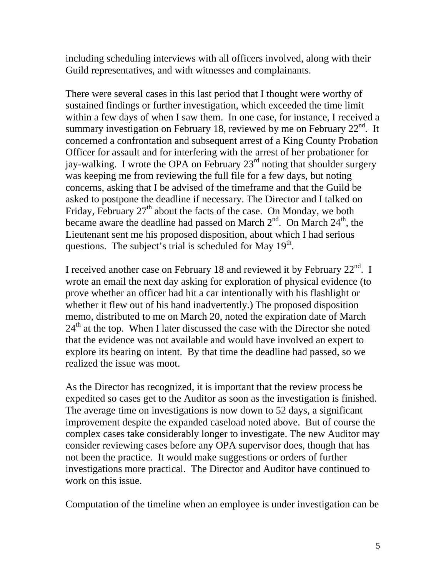including scheduling interviews with all officers involved, along with their Guild representatives, and with witnesses and complainants.

There were several cases in this last period that I thought were worthy of sustained findings or further investigation, which exceeded the time limit within a few days of when I saw them. In one case, for instance, I received a summary investigation on February 18, reviewed by me on February  $22<sup>nd</sup>$ . It concerned a confrontation and subsequent arrest of a King County Probation Officer for assault and for interfering with the arrest of her probationer for jay-walking. I wrote the OPA on February  $23<sup>rd</sup>$  noting that shoulder surgery was keeping me from reviewing the full file for a few days, but noting concerns, asking that I be advised of the timeframe and that the Guild be asked to postpone the deadline if necessary. The Director and I talked on Friday, February  $27<sup>th</sup>$  about the facts of the case. On Monday, we both became aware the deadline had passed on March  $2<sup>nd</sup>$ . On March  $24<sup>th</sup>$ , the Lieutenant sent me his proposed disposition, about which I had serious questions. The subject's trial is scheduled for May  $19<sup>th</sup>$ .

I received another case on February 18 and reviewed it by February  $22<sup>nd</sup>$ . I wrote an email the next day asking for exploration of physical evidence (to prove whether an officer had hit a car intentionally with his flashlight or whether it flew out of his hand inadvertently.) The proposed disposition memo, distributed to me on March 20, noted the expiration date of March  $24<sup>th</sup>$  at the top. When I later discussed the case with the Director she noted that the evidence was not available and would have involved an expert to explore its bearing on intent. By that time the deadline had passed, so we realized the issue was moot.

As the Director has recognized, it is important that the review process be expedited so cases get to the Auditor as soon as the investigation is finished. The average time on investigations is now down to 52 days, a significant improvement despite the expanded caseload noted above. But of course the complex cases take considerably longer to investigate. The new Auditor may consider reviewing cases before any OPA supervisor does, though that has not been the practice. It would make suggestions or orders of further investigations more practical. The Director and Auditor have continued to work on this issue.

Computation of the timeline when an employee is under investigation can be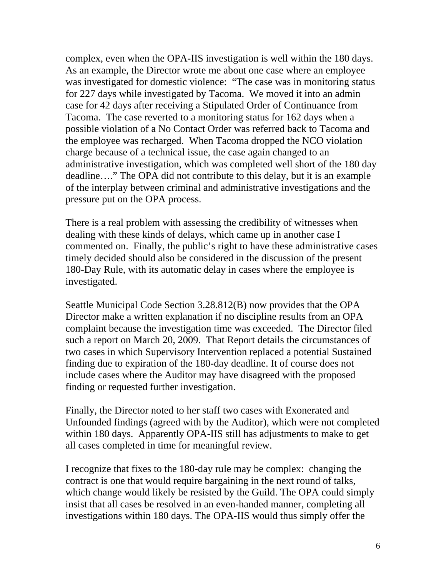complex, even when the OPA-IIS investigation is well within the 180 days. As an example, the Director wrote me about one case where an employee was investigated for domestic violence: "The case was in monitoring status for 227 days while investigated by Tacoma. We moved it into an admin case for 42 days after receiving a Stipulated Order of Continuance from Tacoma. The case reverted to a monitoring status for 162 days when a possible violation of a No Contact Order was referred back to Tacoma and the employee was recharged. When Tacoma dropped the NCO violation charge because of a technical issue, the case again changed to an administrative investigation, which was completed well short of the 180 day deadline…." The OPA did not contribute to this delay, but it is an example of the interplay between criminal and administrative investigations and the pressure put on the OPA process.

There is a real problem with assessing the credibility of witnesses when dealing with these kinds of delays, which came up in another case I commented on. Finally, the public's right to have these administrative cases timely decided should also be considered in the discussion of the present 180-Day Rule, with its automatic delay in cases where the employee is investigated.

Seattle Municipal Code Section 3.28.812(B) now provides that the OPA Director make a written explanation if no discipline results from an OPA complaint because the investigation time was exceeded. The Director filed such a report on March 20, 2009. That Report details the circumstances of two cases in which Supervisory Intervention replaced a potential Sustained finding due to expiration of the 180-day deadline. It of course does not include cases where the Auditor may have disagreed with the proposed finding or requested further investigation.

Finally, the Director noted to her staff two cases with Exonerated and Unfounded findings (agreed with by the Auditor), which were not completed within 180 days. Apparently OPA-IIS still has adjustments to make to get all cases completed in time for meaningful review.

I recognize that fixes to the 180-day rule may be complex: changing the contract is one that would require bargaining in the next round of talks, which change would likely be resisted by the Guild. The OPA could simply insist that all cases be resolved in an even-handed manner, completing all investigations within 180 days. The OPA-IIS would thus simply offer the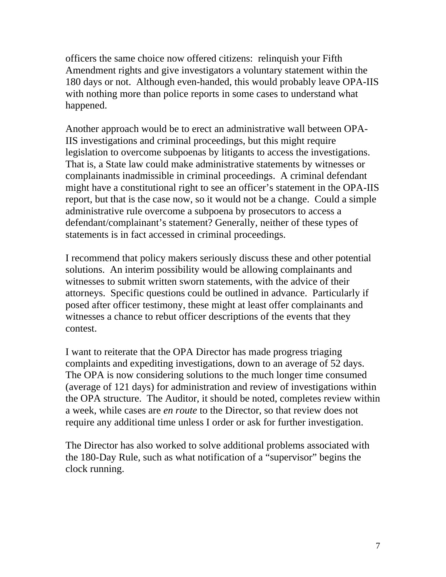officers the same choice now offered citizens: relinquish your Fifth Amendment rights and give investigators a voluntary statement within the 180 days or not. Although even-handed, this would probably leave OPA-IIS with nothing more than police reports in some cases to understand what happened.

Another approach would be to erect an administrative wall between OPA-IIS investigations and criminal proceedings, but this might require legislation to overcome subpoenas by litigants to access the investigations. That is, a State law could make administrative statements by witnesses or complainants inadmissible in criminal proceedings. A criminal defendant might have a constitutional right to see an officer's statement in the OPA-IIS report, but that is the case now, so it would not be a change. Could a simple administrative rule overcome a subpoena by prosecutors to access a defendant/complainant's statement? Generally, neither of these types of statements is in fact accessed in criminal proceedings.

I recommend that policy makers seriously discuss these and other potential solutions. An interim possibility would be allowing complainants and witnesses to submit written sworn statements, with the advice of their attorneys. Specific questions could be outlined in advance. Particularly if posed after officer testimony, these might at least offer complainants and witnesses a chance to rebut officer descriptions of the events that they contest.

I want to reiterate that the OPA Director has made progress triaging complaints and expediting investigations, down to an average of 52 days. The OPA is now considering solutions to the much longer time consumed (average of 121 days) for administration and review of investigations within the OPA structure. The Auditor, it should be noted, completes review within a week, while cases are *en route* to the Director, so that review does not require any additional time unless I order or ask for further investigation.

The Director has also worked to solve additional problems associated with the 180-Day Rule, such as what notification of a "supervisor" begins the clock running.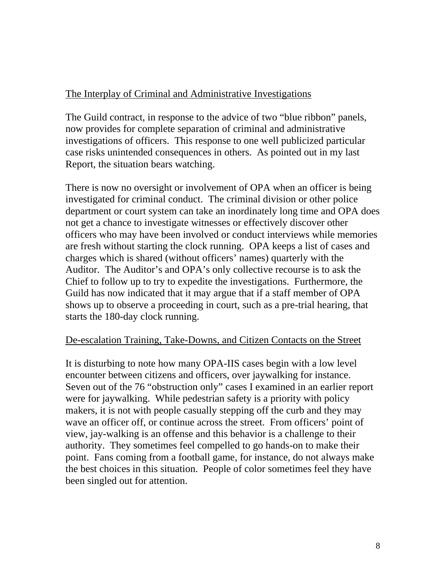### The Interplay of Criminal and Administrative Investigations

The Guild contract, in response to the advice of two "blue ribbon" panels, now provides for complete separation of criminal and administrative investigations of officers. This response to one well publicized particular case risks unintended consequences in others. As pointed out in my last Report, the situation bears watching.

There is now no oversight or involvement of OPA when an officer is being investigated for criminal conduct. The criminal division or other police department or court system can take an inordinately long time and OPA does not get a chance to investigate witnesses or effectively discover other officers who may have been involved or conduct interviews while memories are fresh without starting the clock running. OPA keeps a list of cases and charges which is shared (without officers' names) quarterly with the Auditor. The Auditor's and OPA's only collective recourse is to ask the Chief to follow up to try to expedite the investigations. Furthermore, the Guild has now indicated that it may argue that if a staff member of OPA shows up to observe a proceeding in court, such as a pre-trial hearing, that starts the 180-day clock running.

#### De-escalation Training, Take-Downs, and Citizen Contacts on the Street

It is disturbing to note how many OPA-IIS cases begin with a low level encounter between citizens and officers, over jaywalking for instance. Seven out of the 76 "obstruction only" cases I examined in an earlier report were for jaywalking. While pedestrian safety is a priority with policy makers, it is not with people casually stepping off the curb and they may wave an officer off, or continue across the street. From officers' point of view, jay-walking is an offense and this behavior is a challenge to their authority. They sometimes feel compelled to go hands-on to make their point. Fans coming from a football game, for instance, do not always make the best choices in this situation. People of color sometimes feel they have been singled out for attention.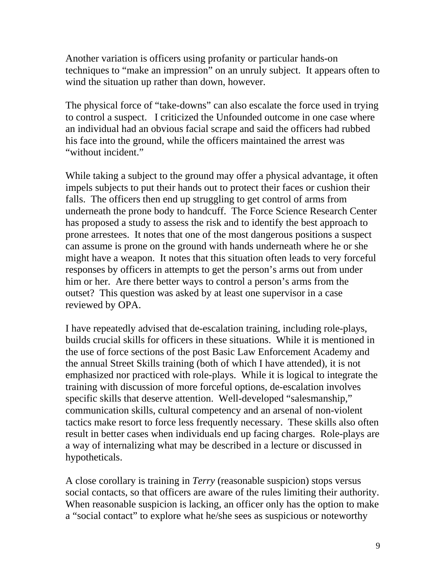Another variation is officers using profanity or particular hands-on techniques to "make an impression" on an unruly subject. It appears often to wind the situation up rather than down, however.

The physical force of "take-downs" can also escalate the force used in trying to control a suspect. I criticized the Unfounded outcome in one case where an individual had an obvious facial scrape and said the officers had rubbed his face into the ground, while the officers maintained the arrest was "without incident."

While taking a subject to the ground may offer a physical advantage, it often impels subjects to put their hands out to protect their faces or cushion their falls. The officers then end up struggling to get control of arms from underneath the prone body to handcuff. The Force Science Research Center has proposed a study to assess the risk and to identify the best approach to prone arrestees. It notes that one of the most dangerous positions a suspect can assume is prone on the ground with hands underneath where he or she might have a weapon. It notes that this situation often leads to very forceful responses by officers in attempts to get the person's arms out from under him or her. Are there better ways to control a person's arms from the outset? This question was asked by at least one supervisor in a case reviewed by OPA.

I have repeatedly advised that de-escalation training, including role-plays, builds crucial skills for officers in these situations. While it is mentioned in the use of force sections of the post Basic Law Enforcement Academy and the annual Street Skills training (both of which I have attended), it is not emphasized nor practiced with role-plays. While it is logical to integrate the training with discussion of more forceful options, de-escalation involves specific skills that deserve attention. Well-developed "salesmanship," communication skills, cultural competency and an arsenal of non-violent tactics make resort to force less frequently necessary. These skills also often result in better cases when individuals end up facing charges. Role-plays are a way of internalizing what may be described in a lecture or discussed in hypotheticals.

A close corollary is training in *Terry* (reasonable suspicion) stops versus social contacts, so that officers are aware of the rules limiting their authority. When reasonable suspicion is lacking, an officer only has the option to make a "social contact" to explore what he/she sees as suspicious or noteworthy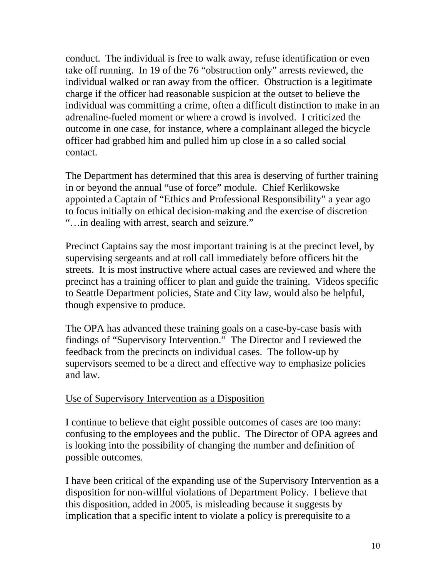conduct. The individual is free to walk away, refuse identification or even take off running. In 19 of the 76 "obstruction only" arrests reviewed, the individual walked or ran away from the officer. Obstruction is a legitimate charge if the officer had reasonable suspicion at the outset to believe the individual was committing a crime, often a difficult distinction to make in an adrenaline-fueled moment or where a crowd is involved. I criticized the outcome in one case, for instance, where a complainant alleged the bicycle officer had grabbed him and pulled him up close in a so called social contact.

The Department has determined that this area is deserving of further training in or beyond the annual "use of force" module. Chief Kerlikowske appointed a Captain of "Ethics and Professional Responsibility" a year ago to focus initially on ethical decision-making and the exercise of discretion "…in dealing with arrest, search and seizure."

Precinct Captains say the most important training is at the precinct level, by supervising sergeants and at roll call immediately before officers hit the streets. It is most instructive where actual cases are reviewed and where the precinct has a training officer to plan and guide the training. Videos specific to Seattle Department policies, State and City law, would also be helpful, though expensive to produce.

The OPA has advanced these training goals on a case-by-case basis with findings of "Supervisory Intervention." The Director and I reviewed the feedback from the precincts on individual cases. The follow-up by supervisors seemed to be a direct and effective way to emphasize policies and law.

#### Use of Supervisory Intervention as a Disposition

I continue to believe that eight possible outcomes of cases are too many: confusing to the employees and the public. The Director of OPA agrees and is looking into the possibility of changing the number and definition of possible outcomes.

I have been critical of the expanding use of the Supervisory Intervention as a disposition for non-willful violations of Department Policy. I believe that this disposition, added in 2005, is misleading because it suggests by implication that a specific intent to violate a policy is prerequisite to a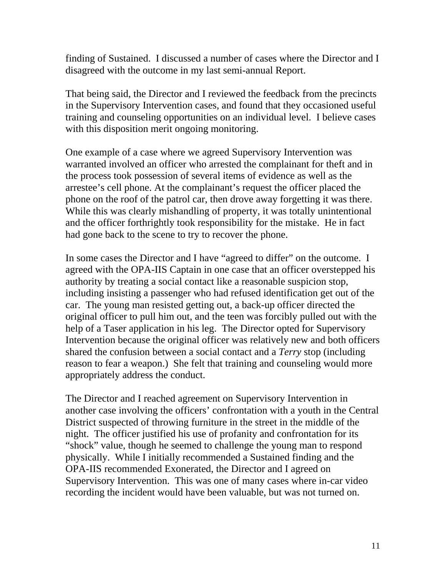finding of Sustained. I discussed a number of cases where the Director and I disagreed with the outcome in my last semi-annual Report.

That being said, the Director and I reviewed the feedback from the precincts in the Supervisory Intervention cases, and found that they occasioned useful training and counseling opportunities on an individual level. I believe cases with this disposition merit ongoing monitoring.

One example of a case where we agreed Supervisory Intervention was warranted involved an officer who arrested the complainant for theft and in the process took possession of several items of evidence as well as the arrestee's cell phone. At the complainant's request the officer placed the phone on the roof of the patrol car, then drove away forgetting it was there. While this was clearly mishandling of property, it was totally unintentional and the officer forthrightly took responsibility for the mistake. He in fact had gone back to the scene to try to recover the phone.

In some cases the Director and I have "agreed to differ" on the outcome. I agreed with the OPA-IIS Captain in one case that an officer overstepped his authority by treating a social contact like a reasonable suspicion stop, including insisting a passenger who had refused identification get out of the car. The young man resisted getting out, a back-up officer directed the original officer to pull him out, and the teen was forcibly pulled out with the help of a Taser application in his leg. The Director opted for Supervisory Intervention because the original officer was relatively new and both officers shared the confusion between a social contact and a *Terry* stop (including reason to fear a weapon.) She felt that training and counseling would more appropriately address the conduct.

The Director and I reached agreement on Supervisory Intervention in another case involving the officers' confrontation with a youth in the Central District suspected of throwing furniture in the street in the middle of the night. The officer justified his use of profanity and confrontation for its "shock" value, though he seemed to challenge the young man to respond physically. While I initially recommended a Sustained finding and the OPA-IIS recommended Exonerated, the Director and I agreed on Supervisory Intervention. This was one of many cases where in-car video recording the incident would have been valuable, but was not turned on.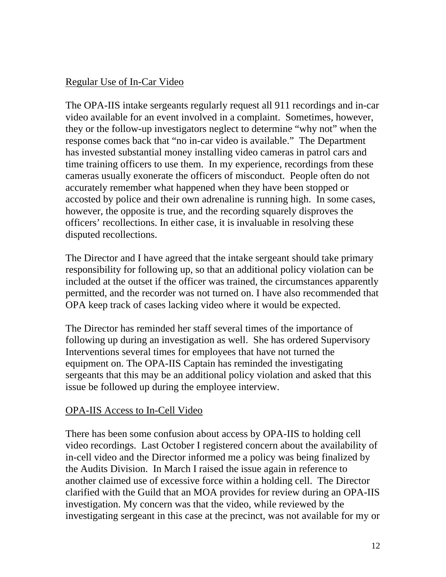## Regular Use of In-Car Video

The OPA-IIS intake sergeants regularly request all 911 recordings and in-car video available for an event involved in a complaint. Sometimes, however, they or the follow-up investigators neglect to determine "why not" when the response comes back that "no in-car video is available." The Department has invested substantial money installing video cameras in patrol cars and time training officers to use them. In my experience, recordings from these cameras usually exonerate the officers of misconduct. People often do not accurately remember what happened when they have been stopped or accosted by police and their own adrenaline is running high. In some cases, however, the opposite is true, and the recording squarely disproves the officers' recollections. In either case, it is invaluable in resolving these disputed recollections.

The Director and I have agreed that the intake sergeant should take primary responsibility for following up, so that an additional policy violation can be included at the outset if the officer was trained, the circumstances apparently permitted, and the recorder was not turned on. I have also recommended that OPA keep track of cases lacking video where it would be expected.

The Director has reminded her staff several times of the importance of following up during an investigation as well. She has ordered Supervisory Interventions several times for employees that have not turned the equipment on. The OPA-IIS Captain has reminded the investigating sergeants that this may be an additional policy violation and asked that this issue be followed up during the employee interview.

## OPA-IIS Access to In-Cell Video

There has been some confusion about access by OPA-IIS to holding cell video recordings. Last October I registered concern about the availability of in-cell video and the Director informed me a policy was being finalized by the Audits Division. In March I raised the issue again in reference to another claimed use of excessive force within a holding cell. The Director clarified with the Guild that an MOA provides for review during an OPA-IIS investigation. My concern was that the video, while reviewed by the investigating sergeant in this case at the precinct, was not available for my or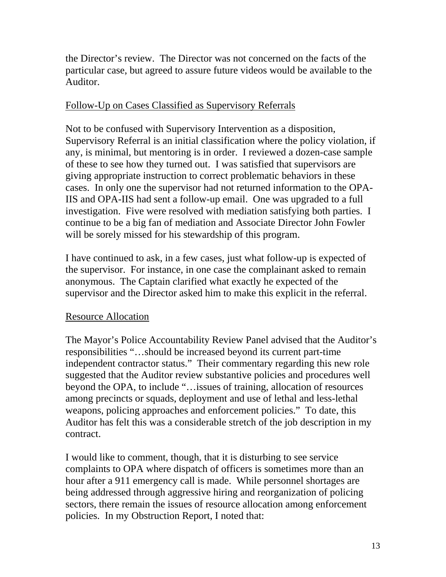the Director's review. The Director was not concerned on the facts of the particular case, but agreed to assure future videos would be available to the Auditor.

## Follow-Up on Cases Classified as Supervisory Referrals

Not to be confused with Supervisory Intervention as a disposition, Supervisory Referral is an initial classification where the policy violation, if any, is minimal, but mentoring is in order. I reviewed a dozen-case sample of these to see how they turned out. I was satisfied that supervisors are giving appropriate instruction to correct problematic behaviors in these cases. In only one the supervisor had not returned information to the OPA-IIS and OPA-IIS had sent a follow-up email. One was upgraded to a full investigation. Five were resolved with mediation satisfying both parties. I continue to be a big fan of mediation and Associate Director John Fowler will be sorely missed for his stewardship of this program.

I have continued to ask, in a few cases, just what follow-up is expected of the supervisor. For instance, in one case the complainant asked to remain anonymous. The Captain clarified what exactly he expected of the supervisor and the Director asked him to make this explicit in the referral.

## Resource Allocation

The Mayor's Police Accountability Review Panel advised that the Auditor's responsibilities "…should be increased beyond its current part-time independent contractor status." Their commentary regarding this new role suggested that the Auditor review substantive policies and procedures well beyond the OPA, to include "…issues of training, allocation of resources among precincts or squads, deployment and use of lethal and less-lethal weapons, policing approaches and enforcement policies." To date, this Auditor has felt this was a considerable stretch of the job description in my contract.

I would like to comment, though, that it is disturbing to see service complaints to OPA where dispatch of officers is sometimes more than an hour after a 911 emergency call is made. While personnel shortages are being addressed through aggressive hiring and reorganization of policing sectors, there remain the issues of resource allocation among enforcement policies. In my Obstruction Report, I noted that: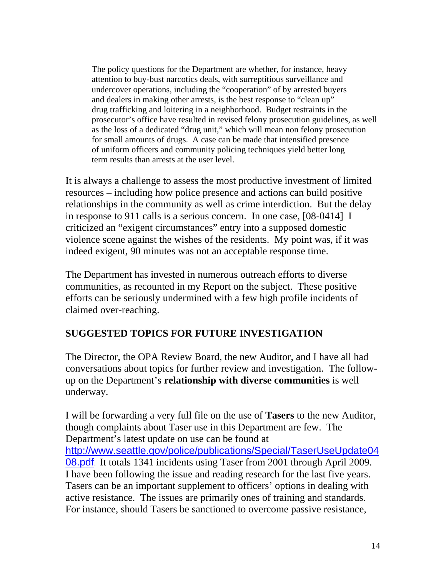The policy questions for the Department are whether, for instance, heavy attention to buy-bust narcotics deals, with surreptitious surveillance and undercover operations, including the "cooperation" of by arrested buyers and dealers in making other arrests, is the best response to "clean up" drug trafficking and loitering in a neighborhood. Budget restraints in the prosecutor's office have resulted in revised felony prosecution guidelines, as well as the loss of a dedicated "drug unit," which will mean non felony prosecution for small amounts of drugs. A case can be made that intensified presence of uniform officers and community policing techniques yield better long term results than arrests at the user level.

It is always a challenge to assess the most productive investment of limited resources – including how police presence and actions can build positive relationships in the community as well as crime interdiction. But the delay in response to 911 calls is a serious concern. In one case, [08-0414] I criticized an "exigent circumstances" entry into a supposed domestic violence scene against the wishes of the residents. My point was, if it was indeed exigent, 90 minutes was not an acceptable response time.

The Department has invested in numerous outreach efforts to diverse communities, as recounted in my Report on the subject. These positive efforts can be seriously undermined with a few high profile incidents of claimed over-reaching.

## **SUGGESTED TOPICS FOR FUTURE INVESTIGATION**

The Director, the OPA Review Board, the new Auditor, and I have all had conversations about topics for further review and investigation. The followup on the Department's **relationship with diverse communities** is well underway.

I will be forwarding a very full file on the use of **Tasers** to the new Auditor, though complaints about Taser use in this Department are few. The Department's latest update on use can be found at http://www.seattle.gov/police/publications/Special/TaserUseUpdate04 08.pdf. It totals 1341 incidents using Taser from 2001 through April 2009. I have been following the issue and reading research for the last five years. Tasers can be an important supplement to officers' options in dealing with active resistance. The issues are primarily ones of training and standards. For instance, should Tasers be sanctioned to overcome passive resistance,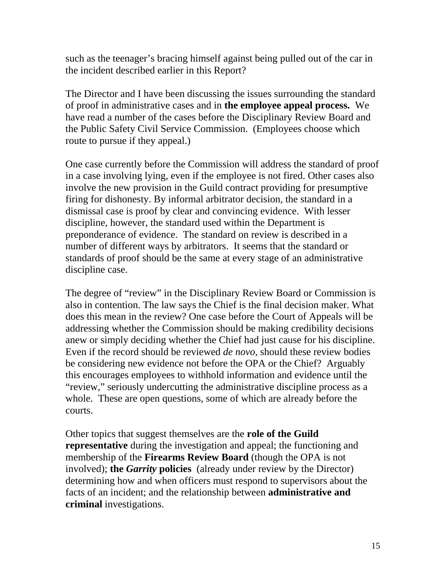such as the teenager's bracing himself against being pulled out of the car in the incident described earlier in this Report?

The Director and I have been discussing the issues surrounding the standard of proof in administrative cases and in **the employee appeal process.** We have read a number of the cases before the Disciplinary Review Board and the Public Safety Civil Service Commission. (Employees choose which route to pursue if they appeal.)

One case currently before the Commission will address the standard of proof in a case involving lying, even if the employee is not fired. Other cases also involve the new provision in the Guild contract providing for presumptive firing for dishonesty. By informal arbitrator decision, the standard in a dismissal case is proof by clear and convincing evidence. With lesser discipline, however, the standard used within the Department is preponderance of evidence. The standard on review is described in a number of different ways by arbitrators. It seems that the standard or standards of proof should be the same at every stage of an administrative discipline case.

The degree of "review" in the Disciplinary Review Board or Commission is also in contention. The law says the Chief is the final decision maker. What does this mean in the review? One case before the Court of Appeals will be addressing whether the Commission should be making credibility decisions anew or simply deciding whether the Chief had just cause for his discipline. Even if the record should be reviewed *de novo,* should these review bodies be considering new evidence not before the OPA or the Chief? Arguably this encourages employees to withhold information and evidence until the "review," seriously undercutting the administrative discipline process as a whole. These are open questions, some of which are already before the courts.

Other topics that suggest themselves are the **role of the Guild representative** during the investigation and appeal; the functioning and membership of the **Firearms Review Board** (though the OPA is not involved); **the** *Garrity* **policies** (already under review by the Director) determining how and when officers must respond to supervisors about the facts of an incident; and the relationship between **administrative and criminal** investigations.